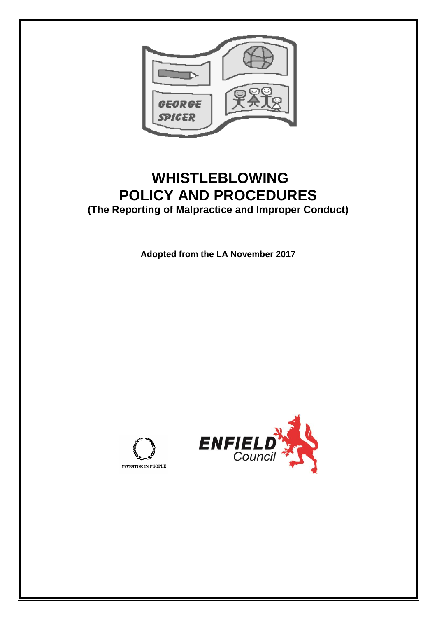

# **WHISTLEBLOWING POLICY AND PROCEDURES (The Reporting of Malpractice and Improper Conduct)**

**Adopted from the LA November 2017**



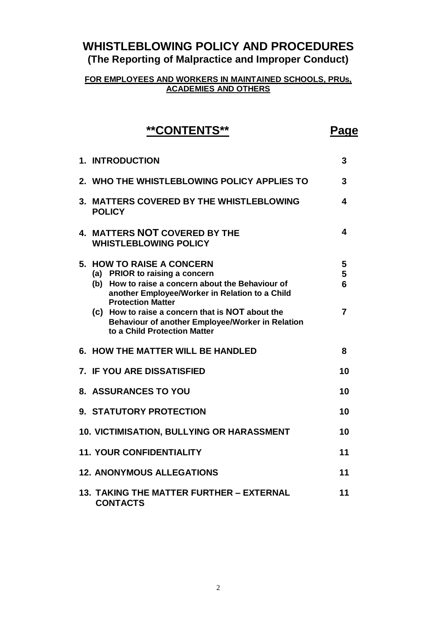# **WHISTLEBLOWING POLICY AND PROCEDURES (The Reporting of Malpractice and Improper Conduct)**

## **FOR EMPLOYEES AND WORKERS IN MAINTAINED SCHOOLS, PRUs, ACADEMIES AND OTHERS**

# **\*\*CONTENTS\*\* Page 1. INTRODUCTION 3 2. WHO THE WHISTLEBLOWING POLICY APPLIES TO 3 3. MATTERS COVERED BY THE WHISTLEBLOWING POLICY 4**

| 4. MATTERS NOT COVERED BY THE<br><b>WHISTLEBLOWING POLICY</b>                                                                                                                                                                                                                                                                          | 4                |
|----------------------------------------------------------------------------------------------------------------------------------------------------------------------------------------------------------------------------------------------------------------------------------------------------------------------------------------|------------------|
| 5. HOW TO RAISE A CONCERN<br>(a) PRIOR to raising a concern<br>(b) How to raise a concern about the Behaviour of<br>another Employee/Worker in Relation to a Child<br><b>Protection Matter</b><br>(c) How to raise a concern that is NOT about the<br>Behaviour of another Employee/Worker in Relation<br>to a Child Protection Matter | 5<br>5<br>6<br>7 |
| 6. HOW THE MATTER WILL BE HANDLED                                                                                                                                                                                                                                                                                                      | 8                |
| 7. IF YOU ARE DISSATISFIED                                                                                                                                                                                                                                                                                                             | 10               |
| 8. ASSURANCES TO YOU                                                                                                                                                                                                                                                                                                                   | 10               |
| 9. STATUTORY PROTECTION                                                                                                                                                                                                                                                                                                                | 10               |
| 10. VICTIMISATION, BULLYING OR HARASSMENT                                                                                                                                                                                                                                                                                              | 10               |
| <b>11. YOUR CONFIDENTIALITY</b>                                                                                                                                                                                                                                                                                                        | 11               |
| <b>12. ANONYMOUS ALLEGATIONS</b>                                                                                                                                                                                                                                                                                                       | 11               |
|                                                                                                                                                                                                                                                                                                                                        |                  |

**13. TAKING THE MATTER FURTHER – EXTERNAL CONTACTS 11**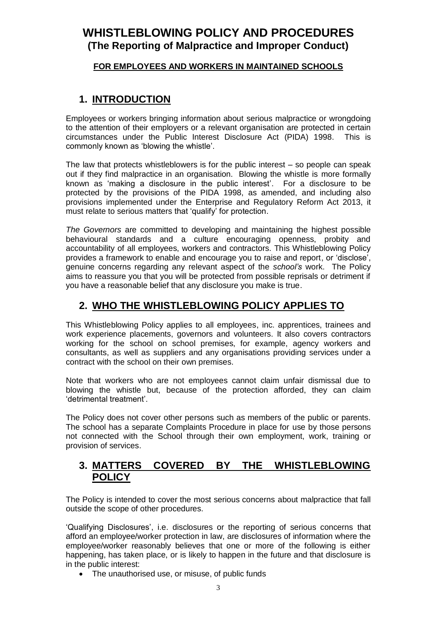# **WHISTLEBLOWING POLICY AND PROCEDURES (The Reporting of Malpractice and Improper Conduct)**

## **FOR EMPLOYEES AND WORKERS IN MAINTAINED SCHOOLS**

## **1. INTRODUCTION**

Employees or workers bringing information about serious malpractice or wrongdoing to the attention of their employers or a relevant organisation are protected in certain circumstances under the Public Interest Disclosure Act (PIDA) 1998. This is commonly known as 'blowing the whistle'.

The law that protects whistleblowers is for the public interest  $-$  so people can speak out if they find malpractice in an organisation. Blowing the whistle is more formally known as 'making a disclosure in the public interest'. For a disclosure to be protected by the provisions of the PIDA 1998, as amended, and including also provisions implemented under the Enterprise and Regulatory Reform Act 2013, it must relate to serious matters that 'qualify' for protection.

*The Governors* are committed to developing and maintaining the highest possible behavioural standards and a culture encouraging openness, probity and accountability of all employees, workers and contractors. This Whistleblowing Policy provides a framework to enable and encourage you to raise and report, or 'disclose', genuine concerns regarding any relevant aspect of the *school's* work. The Policy aims to reassure you that you will be protected from possible reprisals or detriment if you have a reasonable belief that any disclosure you make is true.

# **2. WHO THE WHISTLEBLOWING POLICY APPLIES TO**

This Whistleblowing Policy applies to all employees, inc. apprentices, trainees and work experience placements, governors and volunteers. It also covers contractors working for the school on school premises, for example, agency workers and consultants, as well as suppliers and any organisations providing services under a contract with the school on their own premises.

Note that workers who are not employees cannot claim unfair dismissal due to blowing the whistle but, because of the protection afforded, they can claim 'detrimental treatment'.

The Policy does not cover other persons such as members of the public or parents. The school has a separate Complaints Procedure in place for use by those persons not connected with the School through their own employment, work, training or provision of services.

## **3. MATTERS COVERED BY THE WHISTLEBLOWING POLICY**

The Policy is intended to cover the most serious concerns about malpractice that fall outside the scope of other procedures.

'Qualifying Disclosures', i.e. disclosures or the reporting of serious concerns that afford an employee/worker protection in law, are disclosures of information where the employee/worker reasonably believes that one or more of the following is either happening, has taken place, or is likely to happen in the future and that disclosure is in the public interest:

• The unauthorised use, or misuse, of public funds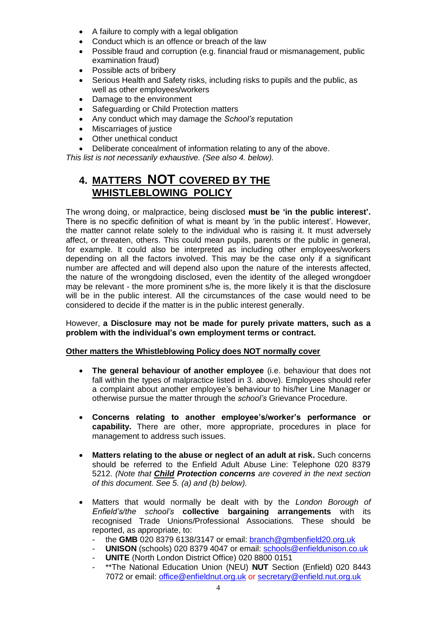- A failure to comply with a legal obligation
- Conduct which is an offence or breach of the law
- Possible fraud and corruption (e.g. financial fraud or mismanagement, public examination fraud)
- Possible acts of bribery
- Serious Health and Safety risks, including risks to pupils and the public, as well as other employees/workers
- Damage to the environment
- Safeguarding or Child Protection matters
- Any conduct which may damage the *School's* reputation
- Miscarriages of justice
- Other unethical conduct
- Deliberate concealment of information relating to any of the above.

*This list is not necessarily exhaustive. (See also 4. below).*

# **4. MATTERS NOT COVERED BY THE WHISTLEBLOWING POLICY**

The wrong doing, or malpractice, being disclosed **must be 'in the public interest'.**  There is no specific definition of what is meant by 'in the public interest'. However, the matter cannot relate solely to the individual who is raising it. It must adversely affect, or threaten, others. This could mean pupils, parents or the public in general, for example. It could also be interpreted as including other employees/workers depending on all the factors involved. This may be the case only if a significant number are affected and will depend also upon the nature of the interests affected, the nature of the wrongdoing disclosed, even the identity of the alleged wrongdoer may be relevant - the more prominent s/he is, the more likely it is that the disclosure will be in the public interest. All the circumstances of the case would need to be considered to decide if the matter is in the public interest generally.

### However, **a Disclosure may not be made for purely private matters, such as a problem with the individual's own employment terms or contract.**

## **Other matters the Whistleblowing Policy does NOT normally cover**

- **The general behaviour of another employee** (i.e. behaviour that does not fall within the types of malpractice listed in 3. above). Employees should refer a complaint about another employee's behaviour to his/her Line Manager or otherwise pursue the matter through the *school's* Grievance Procedure.
- **Concerns relating to another employee's/worker's performance or capability.** There are other, more appropriate, procedures in place for management to address such issues.
- **Matters relating to the abuse or neglect of an adult at risk.** Such concerns should be referred to the Enfield Adult Abuse Line: Telephone 020 8379 5212. *(Note that Child Protection concerns are covered in the next section of this document. See 5. (a) and (b) below).*
- Matters that would normally be dealt with by the *London Borough of Enfield's/the school's* **collective bargaining arrangements** with its recognised Trade Unions/Professional Associations. These should be reported, as appropriate, to:
	- the **GMB** 020 8379 6138/3147 or email: [branch@gmbenfield20.org.uk](mailto:branch@gmbenfield20.org.uk)
	- UNISON (schools) 020 8379 4047 or email: [schools@enfieldunison.co.uk](mailto:schools@enfieldunison.co.uk)
	- UNITE (North London District Office) 020 8800 0151
	- \*\*The National Education Union (NEU) **NUT** Section (Enfield) 020 8443 7072 or email: [office@enfieldnut.org.uk](mailto:office@enfieldnut.org.uk) or [secretary@enfield.nut.org.uk](mailto:secretary@enfield.nut.org.uk)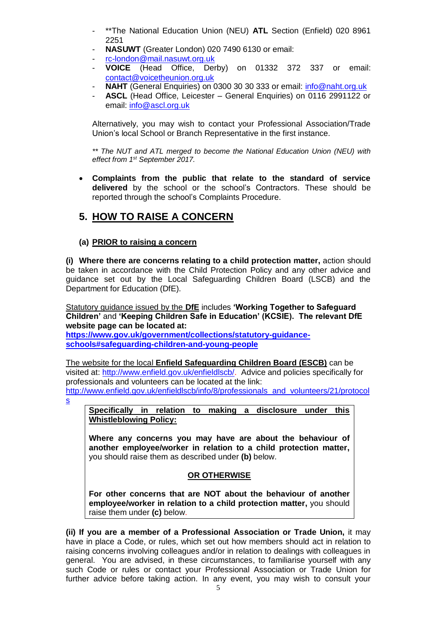- \*\*The National Education Union (NEU) ATL Section (Enfield) 020 8961 2251
- **NASUWT** (Greater London) 020 7490 6130 or email:
- [rc-london@mail.nasuwt.org.uk](mailto:rc-london@mail.nasuwt.org.uk)
- **VOICE** (Head Office, Derby) on 01332 372 337 or email: [contact@voicetheunion.org.uk](mailto:contact@voicetheunion.org.uk)
- **NAHT** (General Enquiries) on 0300 30 30 333 or email: [info@naht.org.uk](mailto:info@naht.org.uk)
- **ASCL** (Head Office, Leicester General Enquiries) on 0116 2991122 or email: [info@ascl.org.uk](mailto:info@ascl.org.uk)

Alternatively, you may wish to contact your Professional Association/Trade Union's local School or Branch Representative in the first instance.

*\*\* The NUT and ATL merged to become the National Education Union (NEU) with effect from 1st September 2017.*

 **Complaints from the public that relate to the standard of service delivered** by the school or the school's Contractors. These should be reported through the school's Complaints Procedure.

## **5. HOW TO RAISE A CONCERN**

### **(a) PRIOR to raising a concern**

**(i) Where there are concerns relating to a child protection matter,** action should be taken in accordance with the Child Protection Policy and any other advice and guidance set out by the Local Safeguarding Children Board (LSCB) and the Department for Education (DfE).

Statutory guidance issued by the **DfE** includes **'Working Together to Safeguard Children'** and **'Keeping Children Safe in Education' (KCSIE). The relevant DfE website page can be located at:** 

**[https://www.gov.uk/government/collections/statutory-guidance](https://www.gov.uk/government/collections/statutory-guidance-schools#safeguarding-children-and-young-people)[schools#safeguarding-children-and-young-people](https://www.gov.uk/government/collections/statutory-guidance-schools#safeguarding-children-and-young-people)**

The website for the local **Enfield Safeguarding Children Board (ESCB)** can be visited at: [http://www.enfield.gov.uk/enfieldlscb/.](http://www.enfield.gov.uk/enfieldlscb/) Advice and policies specifically for professionals and volunteers can be located at the link: [http://www.enfield.gov.uk/enfieldlscb/info/8/professionals\\_and\\_volunteers/21/protocol](http://www.enfield.gov.uk/enfieldlscb/info/8/professionals_and_volunteers/21/protocols)

[s](http://www.enfield.gov.uk/enfieldlscb/info/8/professionals_and_volunteers/21/protocols)

**Specifically in relation to making a disclosure under this Whistleblowing Policy:**

**Where any concerns you may have are about the behaviour of another employee/worker in relation to a child protection matter,** you should raise them as described under **(b)** below.

## **OR OTHERWISE**

**For other concerns that are NOT about the behaviour of another employee/worker in relation to a child protection matter,** you should raise them under **(c)** below.

**(ii) If you are a member of a Professional Association or Trade Union,** it may have in place a Code, or rules, which set out how members should act in relation to raising concerns involving colleagues and/or in relation to dealings with colleagues in general. You are advised, in these circumstances, to familiarise yourself with any such Code or rules or contact your Professional Association or Trade Union for further advice before taking action. In any event, you may wish to consult your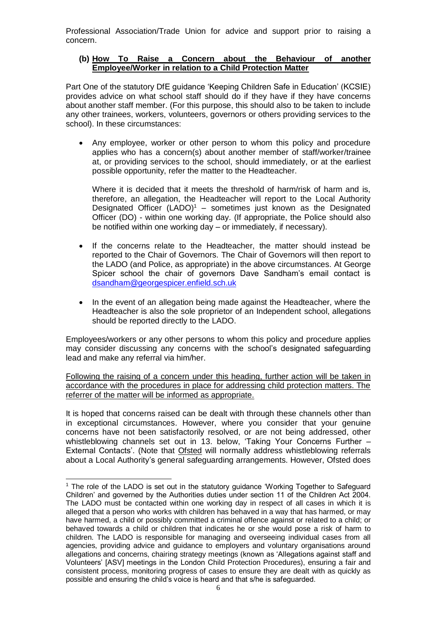Professional Association/Trade Union for advice and support prior to raising a concern.

#### **(b) How To Raise a Concern about the Behaviour of another Employee/Worker in relation to a Child Protection Matter**

Part One of the statutory DfE guidance 'Keeping Children Safe in Education' (KCSIE) provides advice on what school staff should do if they have if they have concerns about another staff member. (For this purpose, this should also to be taken to include any other trainees, workers, volunteers, governors or others providing services to the school). In these circumstances:

 Any employee, worker or other person to whom this policy and procedure applies who has a concern(s) about another member of staff/worker/trainee at, or providing services to the school, should immediately, or at the earliest possible opportunity, refer the matter to the Headteacher.

Where it is decided that it meets the threshold of harm/risk of harm and is, therefore, an allegation, the Headteacher will report to the Local Authority Designated Officer  $(LADO)^1$  – sometimes just known as the Designated Officer (DO) - within one working day. (If appropriate, the Police should also be notified within one working day – or immediately, if necessary).

- If the concerns relate to the Headteacher, the matter should instead be reported to the Chair of Governors. The Chair of Governors will then report to the LADO (and Police, as appropriate) in the above circumstances. At George Spicer school the chair of governors Dave Sandham's email contact is [dsandham@georgespicer.enfield.sch.uk](mailto:dsandham@georgespicer.enfield.sch.uk)
- In the event of an allegation being made against the Headteacher, where the Headteacher is also the sole proprietor of an Independent school, allegations should be reported directly to the LADO.

Employees/workers or any other persons to whom this policy and procedure applies may consider discussing any concerns with the school's designated safeguarding lead and make any referral via him/her.

Following the raising of a concern under this heading, further action will be taken in accordance with the procedures in place for addressing child protection matters. The referrer of the matter will be informed as appropriate.

It is hoped that concerns raised can be dealt with through these channels other than in exceptional circumstances. However, where you consider that your genuine concerns have not been satisfactorily resolved, or are not being addressed, other whistleblowing channels set out in 13. below, 'Taking Your Concerns Further -External Contacts'. (Note that Ofsted will normally address whistleblowing referrals about a Local Authority's general safeguarding arrangements. However, Ofsted does

l

<sup>&</sup>lt;sup>1</sup> The role of the LADO is set out in the statutory guidance 'Working Together to Safeguard Children' and governed by the Authorities duties under section 11 of the Children Act 2004. The LADO must be contacted within one working day in respect of all cases in which it is alleged that a person who works with children has behaved in a way that has harmed, or may have harmed, a child or possibly committed a criminal offence against or related to a child; or behaved towards a child or children that indicates he or she would pose a risk of harm to children. The LADO is responsible for managing and overseeing individual cases from all agencies, providing advice and guidance to employers and voluntary organisations around allegations and concerns, chairing strategy meetings (known as 'Allegations against staff and Volunteers' [ASV] meetings in the London Child Protection Procedures), ensuring a fair and consistent process, monitoring progress of cases to ensure they are dealt with as quickly as possible and ensuring the child's voice is heard and that s/he is safeguarded.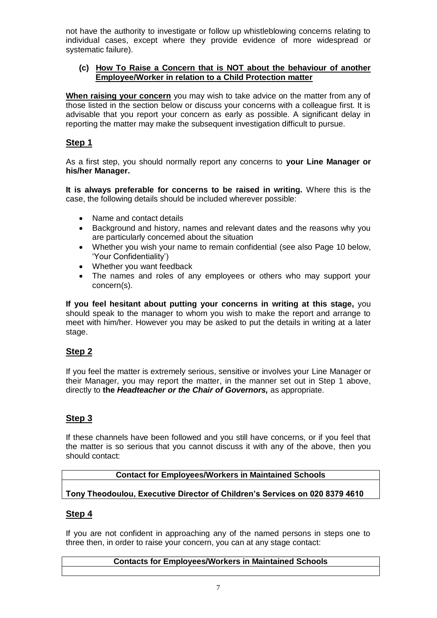not have the authority to investigate or follow up whistleblowing concerns relating to individual cases, except where they provide evidence of more widespread or systematic failure).

### **(c) How To Raise a Concern that is NOT about the behaviour of another Employee/Worker in relation to a Child Protection matter**

**When raising your concern** you may wish to take advice on the matter from any of those listed in the section below or discuss your concerns with a colleague first. It is advisable that you report your concern as early as possible. A significant delay in reporting the matter may make the subsequent investigation difficult to pursue.

## **Step 1**

As a first step, you should normally report any concerns to **your Line Manager or his/her Manager.**

**It is always preferable for concerns to be raised in writing.** Where this is the case, the following details should be included wherever possible:

- Name and contact details
- Background and history, names and relevant dates and the reasons why you are particularly concerned about the situation
- Whether you wish your name to remain confidential (see also Page 10 below, 'Your Confidentiality')
- Whether you want feedback
- The names and roles of any employees or others who may support your concern(s).

**If you feel hesitant about putting your concerns in writing at this stage,** you should speak to the manager to whom you wish to make the report and arrange to meet with him/her. However you may be asked to put the details in writing at a later stage.

## **Step 2**

If you feel the matter is extremely serious, sensitive or involves your Line Manager or their Manager, you may report the matter, in the manner set out in Step 1 above, directly to **the** *Headteacher or the Chair of Governors,* as appropriate.

## **Step 3**

If these channels have been followed and you still have concerns, or if you feel that the matter is so serious that you cannot discuss it with any of the above, then you should contact:

**Contact for Employees/Workers in Maintained Schools**

## **Tony Theodoulou, Executive Director of Children's Services on 020 8379 4610**

## **Step 4**

If you are not confident in approaching any of the named persons in steps one to three then, in order to raise your concern, you can at any stage contact:

## **Contacts for Employees/Workers in Maintained Schools**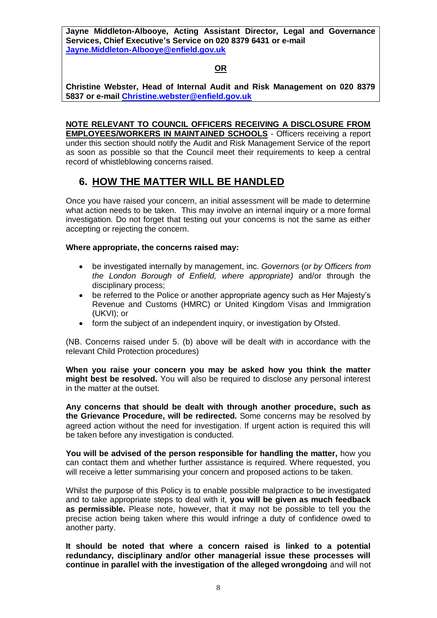**Jayne Middleton-Albooye, Acting Assistant Director, Legal and Governance Services, Chief Executive's Service on 020 8379 6431 or e-mail [Jayne.Middleton-Albooye@enfield.gov.uk](mailto:Jayne.Middleton-Albooye@enfield.gov.uk)**

## **OR**

**Christine Webster, Head of Internal Audit and Risk Management on 020 8379 5837 or e-mail [Christine.webster@enfield.gov.uk](mailto:Christine.webster@enfield.gov.uk)**

## **NOTE RELEVANT TO COUNCIL OFFICERS RECEIVING A DISCLOSURE FROM**

**EMPLOYEES/WORKERS IN MAINTAINED SCHOOLS** - Officers receiving a report under this section should notify the Audit and Risk Management Service of the report as soon as possible so that the Council meet their requirements to keep a central record of whistleblowing concerns raised.

## **6. HOW THE MATTER WILL BE HANDLED**

Once you have raised your concern, an initial assessment will be made to determine what action needs to be taken. This may involve an internal inquiry or a more formal investigation. Do not forget that testing out your concerns is not the same as either accepting or rejecting the concern.

### **Where appropriate, the concerns raised may:**

- be investigated internally by management, inc. *Governors* (*or by* O*fficers from the London Borough of Enfield, where appropriate)* and/or through the disciplinary process;
- be referred to the Police or another appropriate agency such as Her Majesty's Revenue and Customs (HMRC) or United Kingdom Visas and Immigration (UKVI); or
- form the subject of an independent inquiry, or investigation by Ofsted.

(NB. Concerns raised under 5. (b) above will be dealt with in accordance with the relevant Child Protection procedures)

**When you raise your concern you may be asked how you think the matter might best be resolved.** You will also be required to disclose any personal interest in the matter at the outset.

**Any concerns that should be dealt with through another procedure, such as the Grievance Procedure, will be redirected.** Some concerns may be resolved by agreed action without the need for investigation. If urgent action is required this will be taken before any investigation is conducted.

**You will be advised of the person responsible for handling the matter,** how you can contact them and whether further assistance is required. Where requested, you will receive a letter summarising your concern and proposed actions to be taken.

Whilst the purpose of this Policy is to enable possible malpractice to be investigated and to take appropriate steps to deal with it, **you will be given as much feedback as permissible.** Please note, however, that it may not be possible to tell you the precise action being taken where this would infringe a duty of confidence owed to another party.

**It should be noted that where a concern raised is linked to a potential redundancy, disciplinary and/or other managerial issue these processes will continue in parallel with the investigation of the alleged wrongdoing** and will not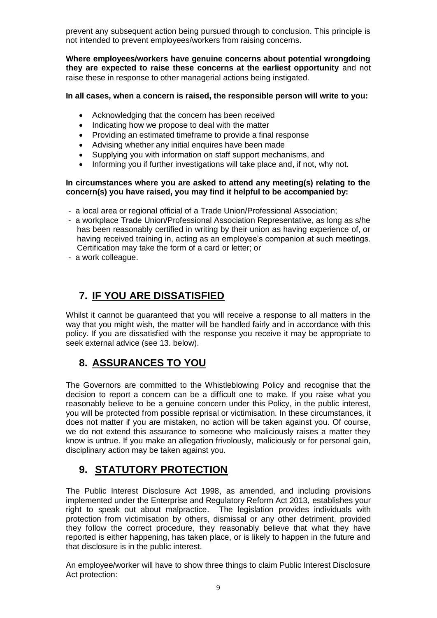prevent any subsequent action being pursued through to conclusion. This principle is not intended to prevent employees/workers from raising concerns.

**Where employees/workers have genuine concerns about potential wrongdoing they are expected to raise these concerns at the earliest opportunity** and not raise these in response to other managerial actions being instigated.

**In all cases, when a concern is raised, the responsible person will write to you:**

- Acknowledging that the concern has been received
- Indicating how we propose to deal with the matter
- Providing an estimated timeframe to provide a final response
- Advising whether any initial enquires have been made
- Supplying you with information on staff support mechanisms, and
- Informing you if further investigations will take place and, if not, why not.

#### **In circumstances where you are asked to attend any meeting(s) relating to the concern(s) you have raised, you may find it helpful to be accompanied by:**

- a local area or regional official of a Trade Union/Professional Association;
- a workplace Trade Union/Professional Association Representative, as long as s/he has been reasonably certified in writing by their union as having experience of, or having received training in, acting as an employee's companion at such meetings. Certification may take the form of a card or letter; or
- a work colleague.

# **7. IF YOU ARE DISSATISFIED**

Whilst it cannot be guaranteed that you will receive a response to all matters in the way that you might wish, the matter will be handled fairly and in accordance with this policy. If you are dissatisfied with the response you receive it may be appropriate to seek external advice (see 13. below).

# **8. ASSURANCES TO YOU**

The Governors are committed to the Whistleblowing Policy and recognise that the decision to report a concern can be a difficult one to make. If you raise what you reasonably believe to be a genuine concern under this Policy, in the public interest, you will be protected from possible reprisal or victimisation. In these circumstances, it does not matter if you are mistaken, no action will be taken against you. Of course, we do not extend this assurance to someone who maliciously raises a matter they know is untrue. If you make an allegation frivolously, maliciously or for personal gain, disciplinary action may be taken against you.

# **9. STATUTORY PROTECTION**

The Public Interest Disclosure Act 1998, as amended, and including provisions implemented under the Enterprise and Regulatory Reform Act 2013, establishes your right to speak out about malpractice. The legislation provides individuals with protection from victimisation by others, dismissal or any other detriment, provided they follow the correct procedure, they reasonably believe that what they have reported is either happening, has taken place, or is likely to happen in the future and that disclosure is in the public interest.

An employee/worker will have to show three things to claim Public Interest Disclosure Act protection: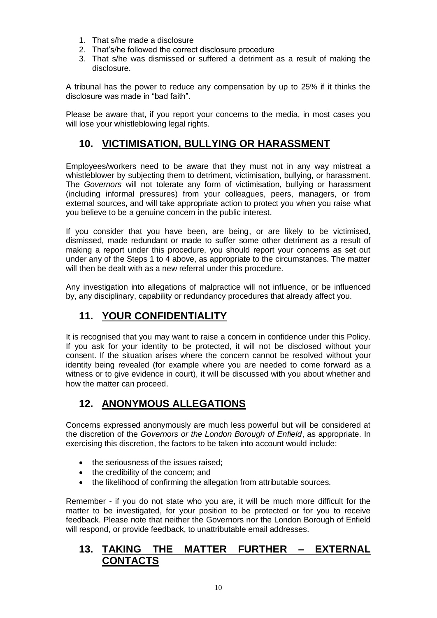- 1. That s/he made a disclosure
- 2. That's/he followed the correct disclosure procedure
- 3. That s/he was dismissed or suffered a detriment as a result of making the disclosure.

A tribunal has the power to reduce any compensation by up to 25% if it thinks the disclosure was made in "bad faith".

Please be aware that, if you report your concerns to the media, in most cases you will lose your whistleblowing legal rights.

# **10. VICTIMISATION, BULLYING OR HARASSMENT**

Employees/workers need to be aware that they must not in any way mistreat a whistleblower by subjecting them to detriment, victimisation, bullying, or harassment. The *Governors* will not tolerate any form of victimisation, bullying or harassment (including informal pressures) from your colleagues, peers, managers, or from external sources, and will take appropriate action to protect you when you raise what you believe to be a genuine concern in the public interest.

If you consider that you have been, are being, or are likely to be victimised, dismissed, made redundant or made to suffer some other detriment as a result of making a report under this procedure, you should report your concerns as set out under any of the Steps 1 to 4 above, as appropriate to the circumstances. The matter will then be dealt with as a new referral under this procedure.

Any investigation into allegations of malpractice will not influence, or be influenced by, any disciplinary, capability or redundancy procedures that already affect you.

# **11. YOUR CONFIDENTIALITY**

It is recognised that you may want to raise a concern in confidence under this Policy. If you ask for your identity to be protected, it will not be disclosed without your consent. If the situation arises where the concern cannot be resolved without your identity being revealed (for example where you are needed to come forward as a witness or to give evidence in court), it will be discussed with you about whether and how the matter can proceed.

# **12. ANONYMOUS ALLEGATIONS**

Concerns expressed anonymously are much less powerful but will be considered at the discretion of the *Governors or the London Borough of Enfield*, as appropriate. In exercising this discretion, the factors to be taken into account would include:

- the seriousness of the issues raised:
- the credibility of the concern; and
- the likelihood of confirming the allegation from attributable sources.

Remember - if you do not state who you are, it will be much more difficult for the matter to be investigated, for your position to be protected or for you to receive feedback. Please note that neither the Governors nor the London Borough of Enfield will respond, or provide feedback, to unattributable email addresses.

## **13. TAKING THE MATTER FURTHER – EXTERNAL CONTACTS**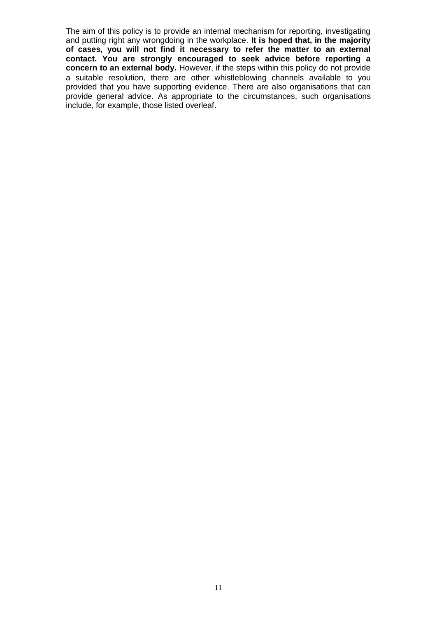The aim of this policy is to provide an internal mechanism for reporting, investigating and putting right any wrongdoing in the workplace. **It is hoped that, in the majority of cases, you will not find it necessary to refer the matter to an external contact. You are strongly encouraged to seek advice before reporting a concern to an external body.** However, if the steps within this policy do not provide a suitable resolution, there are other whistleblowing channels available to you provided that you have supporting evidence. There are also organisations that can provide general advice. As appropriate to the circumstances, such organisations include, for example, those listed overleaf.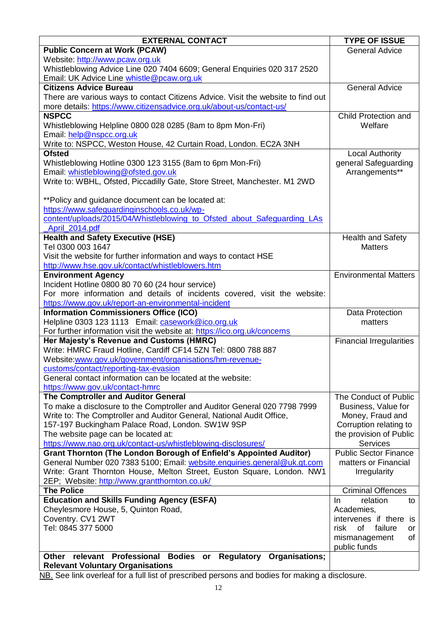| <b>EXTERNAL CONTACT</b>                                                                                                                            | <b>TYPE OF ISSUE</b>                    |
|----------------------------------------------------------------------------------------------------------------------------------------------------|-----------------------------------------|
| <b>Public Concern at Work (PCAW)</b>                                                                                                               | <b>General Advice</b>                   |
| Website: http://www.pcaw.org.uk                                                                                                                    |                                         |
| Whistleblowing Advice Line 020 7404 6609; General Enquiries 020 317 2520                                                                           |                                         |
| Email: UK Advice Line whistle@pcaw.org.uk                                                                                                          |                                         |
| <b>Citizens Advice Bureau</b>                                                                                                                      | <b>General Advice</b>                   |
| There are various ways to contact Citizens Advice. Visit the website to find out                                                                   |                                         |
| more details: https://www.citizensadvice.org.uk/about-us/contact-us/                                                                               |                                         |
| <b>NSPCC</b>                                                                                                                                       | Child Protection and                    |
| Whistleblowing Helpline 0800 028 0285 (8am to 8pm Mon-Fri)                                                                                         | Welfare                                 |
| Email: help@nspcc.org.uk                                                                                                                           |                                         |
| Write to: NSPCC, Weston House, 42 Curtain Road, London. EC2A 3NH                                                                                   |                                         |
| <b>Ofsted</b>                                                                                                                                      | <b>Local Authority</b>                  |
| Whistleblowing Hotline 0300 123 3155 (8am to 6pm Mon-Fri)                                                                                          | general Safeguarding                    |
| Email: whistleblowing@ofsted.gov.uk                                                                                                                | Arrangements**                          |
| Write to: WBHL, Ofsted, Piccadilly Gate, Store Street, Manchester. M1 2WD                                                                          |                                         |
|                                                                                                                                                    |                                         |
| ** Policy and guidance document can be located at:                                                                                                 |                                         |
| https://www.safeguardinginschools.co.uk/wp-                                                                                                        |                                         |
| content/uploads/2015/04/Whistleblowing_to_Ofsted_about_Safeguarding_LAs                                                                            |                                         |
| April 2014.pdf                                                                                                                                     |                                         |
| <b>Health and Safety Executive (HSE)</b>                                                                                                           | Health and Safety                       |
| Tel 0300 003 1647                                                                                                                                  | <b>Matters</b>                          |
| Visit the website for further information and ways to contact HSE                                                                                  |                                         |
| http://www.hse.gov.uk/contact/whistleblowers.htm                                                                                                   |                                         |
| <b>Environment Agency</b>                                                                                                                          | <b>Environmental Matters</b>            |
| Incident Hotline 0800 80 70 60 (24 hour service)                                                                                                   |                                         |
| For more information and details of incidents covered, visit the website:                                                                          |                                         |
| https://www.gov.uk/report-an-environmental-incident                                                                                                |                                         |
| <b>Information Commissioners Office (ICO)</b>                                                                                                      | <b>Data Protection</b>                  |
| Helpline 0303 123 1113 Email: casework@ico.org.uk                                                                                                  | matters                                 |
| For further information visit the website at: https://ico.org.uk/concerns                                                                          |                                         |
| Her Majesty's Revenue and Customs (HMRC)                                                                                                           | <b>Financial Irregularities</b>         |
| Write: HMRC Fraud Hotline, Cardiff CF14 5ZN Tel: 0800 788 887                                                                                      |                                         |
| Website:www.gov.uk/government/organisations/hm-revenue-                                                                                            |                                         |
| customs/contact/reporting-tax-evasion                                                                                                              |                                         |
| General contact information can be located at the website:                                                                                         |                                         |
| https://www.gov.uk/contact-hmrc                                                                                                                    |                                         |
| The Comptroller and Auditor General                                                                                                                | The Conduct of Public                   |
|                                                                                                                                                    |                                         |
| To make a disclosure to the Comptroller and Auditor General 020 7798 7999<br>Write to: The Comptroller and Auditor General, National Audit Office, | Business, Value for<br>Money, Fraud and |
| 157-197 Buckingham Palace Road, London. SW1W 9SP                                                                                                   | Corruption relating to                  |
|                                                                                                                                                    |                                         |
| The website page can be located at:                                                                                                                | the provision of Public<br>Services     |
| https://www.nao.org.uk/contact-us/whistleblowing-disclosures/                                                                                      | <b>Public Sector Finance</b>            |
| Grant Thornton (The London Borough of Enfield's Appointed Auditor)                                                                                 |                                         |
| General Number 020 7383 5100; Email: website.enquiries.general@uk.gt.com                                                                           | matters or Financial                    |
| Write: Grant Thornton House, Melton Street, Euston Square, London. NW1                                                                             | <b>Irregularity</b>                     |
| 2EP; Website: http://www.grantthornton.co.uk/                                                                                                      |                                         |
| <b>The Police</b>                                                                                                                                  | <b>Criminal Offences</b>                |
| <b>Education and Skills Funding Agency (ESFA)</b>                                                                                                  | relation<br>In.<br>to                   |
| Cheylesmore House, 5, Quinton Road,                                                                                                                | Academies,                              |
| Coventry. CV1 2WT                                                                                                                                  | intervenes if there<br>is               |
| Tel: 0845 377 5000                                                                                                                                 | risk<br>0f<br>failure<br>or             |
|                                                                                                                                                    | of<br>mismanagement                     |
|                                                                                                                                                    | public funds                            |
| Other relevant Professional Bodies or<br><b>Regulatory Organisations;</b><br><b>Relevant Voluntary Organisations</b>                               |                                         |

NB. See link overleaf for a full list of prescribed persons and bodies for making a disclosure.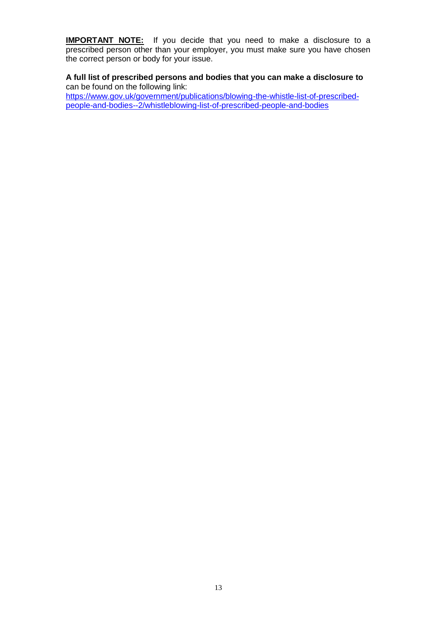**IMPORTANT NOTE:** If you decide that you need to make a disclosure to a prescribed person other than your employer, you must make sure you have chosen the correct person or body for your issue.

**A full list of prescribed persons and bodies that you can make a disclosure to** can be found on the following link:

[https://www.gov.uk/government/publications/blowing-the-whistle-list-of-prescribed](https://www.gov.uk/government/publications/blowing-the-whistle-list-of-prescribed-people-and-bodies--2/whistleblowing-list-of-prescribed-people-and-bodies)[people-and-bodies--2/whistleblowing-list-of-prescribed-people-and-bodies](https://www.gov.uk/government/publications/blowing-the-whistle-list-of-prescribed-people-and-bodies--2/whistleblowing-list-of-prescribed-people-and-bodies)